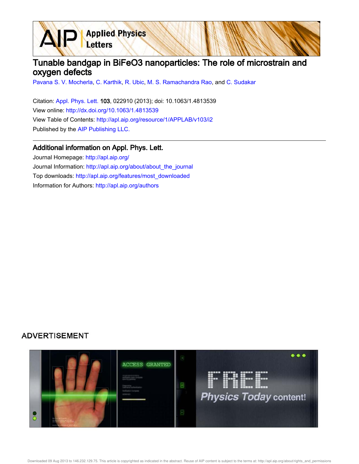## Tunable bandgap in BiFeO3 nanoparticles: The role of microstrain and oxygen defects

Pavana S. V. Mocherla, C. Karthik, R. Ubic, M. S. Ramachandra Rao, and C. Sudakar

Citation: Appl. Phys. Lett. 103, 022910 (2013); doi: 10.1063/1.4813539 View online: http://dx.doi.org/10.1063/1.4813539 View Table of Contents: http://apl.aip.org/resource/1/APPLAB/v103/i2 Published by the AIP Publishing LLC.

**Applied Physics** 

Letters

## Additional information on Appl. Phys. Lett.

Journal Homepage: http://apl.aip.org/ Journal Information: http://apl.aip.org/about/about\_the\_journal Top downloads: http://apl.aip.org/features/most\_downloaded Information for Authors: http://apl.aip.org/authors

## **ADVERTISEMENT**

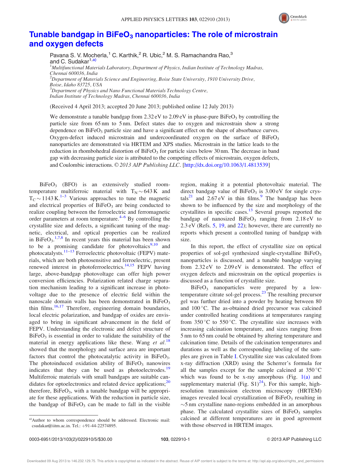

## Tunable bandgap in BiFeO<sub>3</sub> nanoparticles: The role of microstrain and oxygen defects

Pavana S. V. Mocherla,<sup>1</sup> C. Karthik,<sup>2</sup> R. Ubic,<sup>2</sup> M. S. Ramachandra Rao,<sup>3</sup> and C. Sudakar<sup>1,a)</sup>  $<sup>1</sup>Multifunctional Materials Laboratory, Department of Physics, Indian Institute of Technology Madras,$ </sup> Chennai 600036, India  $^{2}$ Department of Materials Science and Engineering, Boise State University, 1910 University Drive, Boise, Idaho 83725, USA <sup>3</sup>Department of Physics and Nano Functional Materials Technology Centre, Indian Institute of Technology Madras, Chennai 600036, India

(Received 4 April 2013; accepted 20 June 2013; published online 12 July 2013)

We demonstrate a tunable bandgap from  $2.32 \text{ eV}$  to  $2.09 \text{ eV}$  in phase-pure BiFeO<sub>3</sub> by controlling the particle size from 65 nm to 5 nm. Defect states due to oxygen and microstrain show a strong dependence on  $BiFeO<sub>3</sub>$  particle size and have a significant effect on the shape of absorbance curves. Oxygen-defect induced microstrain and undercoordinated oxygen on the surface of  $BiFeO<sub>3</sub>$ nanoparticles are demonstrated via HRTEM and XPS studies. Microstrain in the lattice leads to the reduction in rhombohedral distortion of  $BiFeO<sub>3</sub>$  for particle sizes below 30 nm. The decrease in band gap with decreasing particle size is attributed to the competing effects of microstrain, oxygen defects, and Coulombic interactions. © 2013 AIP Publishing LLC. [http://dx.doi.org/10.1063/1.4813539]

 $BiFeO<sub>3</sub>$  (BFO) is an extensively studied roomtemperature multiferroic material with  $T_N \sim 643 \text{ K}$  and  $T_{\rm C}$  ~ 1143 K.<sup>1–3</sup> Various approaches to tune the magnetic and electrical properties of  $BiFeO<sub>3</sub>$  are being conducted to realize coupling between the ferroelectric and ferromagnetic order parameters at room temperature. $4-6$  By controlling the crystallite size and defects, a significant tuning of the magnetic, electrical, and optical properties can be realized in BiFe $O_3$ <sup>1,7,8</sup> In recent years this material has been shown to be a promising candidate for photovoltaics<sup>9,10</sup> and photocatalysts.<sup>11–13</sup> Ferroelectric photovoltaic (FEPV) materials, which are both photosensitive and ferroelectric, present renewed interest in photoferroelectrics.<sup>14,15</sup> FEPV having large, above-bandgap photovoltage can offer high power conversion efficiencies. Polarization related charge separation mechanism leading to a significant increase in photovoltage due to the presence of electric field within the nanoscale domain walls has been demonstrated in  $BiFeO<sub>3</sub>$ thin films.<sup>16,17</sup> Therefore, engineering domain boundaries, local electric polarization, and bandgap of oxides are envisaged to bring in significant advancement in the field of FEPV. Understanding the electronic and defect structure of  $BiFeO<sub>3</sub>$  is essential in order to validate the suitability of the material in energy applications like these. Wang et  $al$ .<sup>18</sup> showed that the morphology and surface area are important factors that control the photocatalytic activity in BiFeO<sub>3</sub>. The photoinduced oxidation ability of  $BiFeO<sub>3</sub>$  nanowires indicates that they can be used as photoelectrodes.<sup>19</sup> Multiferroic materials with small bandgaps are suitable candidates for optoelectronics and related device applications;<sup>20</sup> therefore,  $BiFeO<sub>3</sub>$ , with a tunable bandgap will be appropriate for these applications. With the reduction in particle size, the bandgap of  $BiFeO<sub>3</sub>$  can be made to fall in the visible

a)Author to whom correspondence should be addressed. Electronic mail: csudakar@iitm.ac.in. Tel.: +91-44-22574895.

region, making it a potential photovoltaic material. The direct bandgap value of  $BiFeO<sub>3</sub>$  is  $3.00 \text{ eV}$  for single crystals<sup>21</sup> and  $2.67 \text{ eV}$  in thin films.<sup>9</sup> The bandgap has been shown to be influenced by the size and morphology of the crystallites in specific cases. $13$  Several groups reported the bandgap of nanosized  $BiFeO<sub>3</sub>$  ranging from  $2.18 \text{ eV}$  to 2.3 eV (Refs. 5, 19, and 22); however, there are currently no reports which present a controlled tuning of bandgap with size.

In this report, the effect of crystallite size on optical properties of sol-gel synthesized single-crystalline  $BiFeO<sub>3</sub>$ nanoparticles is discussed, and a tunable bandgap varying from 2.32 eV to 2.09 eV is demonstrated. The effect of oxygen defects and microstrain on the optical properties is discussed as a function of crystallite size.

BiFeO<sub>3</sub> nanoparticles were prepared by a lowtemperature citrate sol-gel process.<sup>23</sup> The resulting precursor gel was further dried into a powder by heating between 80 and 100 °C. The as-obtained dried precursor was calcined under controlled heating conditions at temperatures ranging from  $350^{\circ}$ C to  $550^{\circ}$ C. The crystallite size increases with increasing calcination temperature, and sizes ranging from 5 nm to 65 nm could be obtained by altering temperature and calcination time. Details of the calcination temperatures and durations as well as the corresponding labeling of the samples are given in Table I. Crystallite size was calculated from x-ray diffraction (XRD) using the Scherrer's formula for all the samples except for the sample calcined at  $350^{\circ}$ C which was found to be x-ray amorphous (Fig.  $1(a)$  and supplementary material (Fig.  $S1$ )<sup>24</sup>). For this sample, highresolution transmission electron microscopy (HRTEM) images revealed local crystallization of  $BiFeO<sub>3</sub>$  resulting in  $\sim$ 5 nm crystalline nano-regions embedded in an amorphous phase. The calculated crystallite sizes of  $BiFeO<sub>3</sub>$  samples calcined at different temperatures are in good agreement with those observed in HRTEM images.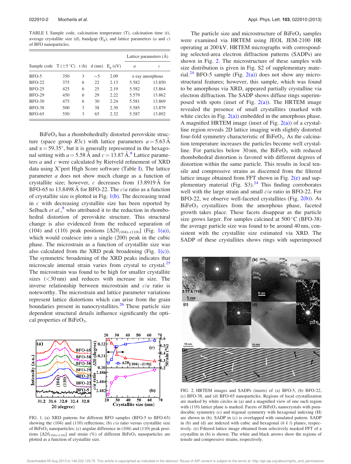TABLE I. Sample code, calcination temperature (T), calcination time (t), average crystallite size (d), bandgap  $(E_g)$ , and lattice parameters (*a* and *c*) of BFO nanoparticles.

|                                  |     |      |          |                  | Lattice parameters (A) |        |
|----------------------------------|-----|------|----------|------------------|------------------------|--------|
| Sample code $T (\pm 5^{\circ}C)$ |     | t(h) | $d$ (nm) | $E_{\rm o}$ (eV) | a                      | c      |
| $BFO-5$                          | 350 | 3    | $\sim$ 5 | 2.09             | x-ray amorphous        |        |
| $BFO-22$                         | 375 | 6    | 22       | 2.13             | 5.582                  | 13.850 |
| $BFO-25$                         | 425 | 6    | 25       | 2.19             | 5.582                  | 13.864 |
| <b>BFO-29</b>                    | 450 | 6    | 29       | 2.22             | 5.579                  | 13.862 |
| $BFO-30$                         | 475 | 6    | 30       | 2.24             | 5.581                  | 13.869 |
| <b>BFO-38</b>                    | 500 | 3    | 38       | 2.30             | 5.585                  | 13.879 |
| <b>BFO-65</b>                    | 550 | 3    | 65       | 2.32             | 5.587                  | 13.892 |

 $BiFeO<sub>3</sub>$  has a rhombohedrally distorted perovskite structure (space group R3c) with lattice parameters  $a = 5.63 \text{ Å}$ and  $\alpha = 59.35^{\circ}$ , but it is generally represented in the hexagonal setting with  $a = 5.58$  Å and  $c = 13.87$  Å.<sup>8</sup> Lattice parameters a and c were calculated by Rietveld refinement of XRD data using X'pert High Score software (Table I). The lattice parameter a does not show much change as a function of crystallite size; however, c decreases from  $13.8919 \text{ Å}$  for BFO-65 to 13.8498 Å for BFO-22. The  $c/a$  ratio as a function of crystallite size is plotted in Fig. 1(b). The decreasing trend in  $c$  with decreasing crystallite size has been reported by Selbach et  $al$ ,  $\overset{8}{\sim}$  who attributed it to the reduction in rhombohedral distortion of perovskite structure. This structural change is also evidenced from the reduced separation of (104) and (110) peak positions  $[\Delta 2\theta_{(104)-(110)}]$  (Fig. 1(a)), which would coalesce into a single (200) peak in the cubic phase. The microstrain as a function of crystallite size was also calculated from the XRD peak broadening (Fig.  $1(c)$ ). The symmetric broadening of the XRD peaks indicates that microscale internal strain varies from crystal to crystal.<sup>25</sup> The microstrain was found to be high for smaller crystallite sizes  $( $30 \text{ nm}$ )$  and reduces with increase in size. The inverse relationship between microstrain and c/a ratio is noteworthy. The microstrain and lattice parameter variations represent lattice distortions which can arise from the grain boundaries present in nanocrystallites.<sup>26</sup> These particle size dependent structural details influence significantly the optical properties of BiFeO<sub>3</sub>.



FIG. 1. (a) XRD patterns for different BFO samples (BFO-5 to BFO-65) showing the (104) and (110) reflections; (b)  $c/a$  ratio versus crystallite size of BiFeO<sub>3</sub> nanoparticles; (c) angular difference in  $(104)$  and  $(110)$  peak positions  $[\Delta 2\theta_{(104)-(110)}]$  and strain (%) of different BiFeO<sub>3</sub> nanoparticles are plotted as a function of crystallite size.

The particle size and microstructure of  $BiFeO<sub>3</sub>$  samples were examined via HRTEM using JEOL JEM-2100 HR operating at 200 kV. HRTEM micrographs with corresponding selected-area electron diffraction patterns (SADPs) are shown in Fig. 2. The microstructure of these samples with size distribution is given in Fig. S2 of supplementary material.<sup>24</sup> BFO-5 sample (Fig. 2(a)) does not show any microstructural features; however, this sample, which was found to be amorphous via XRD, appeared partially crystalline via electron diffraction. The SADP shows diffuse rings superimposed with spots (inset of Fig.  $2(a)$ ). The HRTEM image revealed the presence of small crystallites (marked with white circles in Fig.  $2(a)$ ) embedded in the amorphous phase. A magnified HRTEM image (inset of Fig.  $2(a)$ ) of a crystalline region reveals 2D lattice imaging with slightly distorted four-fold symmetry characteristic of  $BiFeO<sub>3</sub>$ . As the calcination temperature increases the particles become well crystalline. For particles below 30 nm, the  $BiFeO<sub>3</sub>$  with reduced rhombohedral distortion is favored with different degrees of distortion within the same particle. This results in local tensile and compressive strains as discerned from the filtered lattice image obtained from FFT shown in Fig.  $2(e)$  and supplementary material (Fig.  $S3$ ).<sup>24</sup> This finding corroborates well with the large strain and small  $c/a$  ratio in BFO-22. For BFO-22, we observe well-faceted crystallites (Fig. 2(b)). As  $BiFeO<sub>3</sub>$  crystallizes from the amorphous phase, faceted growth takes place. These facets disappear as the particle size grows larger. For samples calcined at  $500\,^{\circ}\text{C}$  (BFO-38) the average particle size was found to be around 40 nm, consistent with the crystallite size estimated via XRD. The SADP of these crystallites shows rings with superimposed



FIG. 2. HRTEM images and SADPs (insets) of (a) BFO-5, (b) BFO-22, (c) BFO-38, and (d) BFO-65 nanoparticles. Regions of local crystallization are marked by white circles in (a) and a magnified view of one such region with (110) lattice plane is marked. Facets of  $B$ iFeO<sub>3</sub> nanocrystals with pseudocubic symmetry (c) and trigonal symmetry with hexagonal indexing (H) are shown in (b). SADP in (c) is overlapped with simulated pattern. SADP in (b) and (d) are indexed with cubic and hexagonal  $(h k l)$  planes, respectively. (e) Filtered lattice image obtained from selectively masked FFT of a crystallite in (b) is shown. The white and black arrows show the regions of tensile and compressive strains, respectively.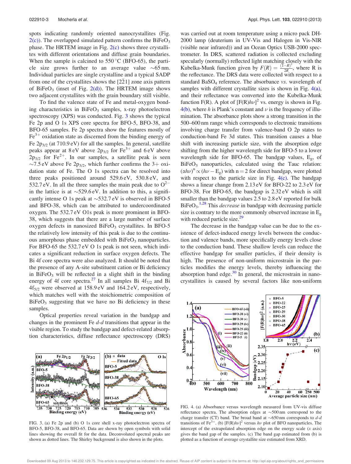spots indicating randomly oriented nanocrystallites (Fig.  $2(c)$ ). The overlapped simulated pattern confirms the BiFeO<sub>3</sub> phase. The HRTEM image in Fig.  $2(c)$  shows three crystallites with different orientations and diffuse grain boundaries. When the sample is calcined to  $550\,^{\circ}\text{C}$  (BFO-65), the particle size grows further to an average value  $\sim 65$  nm. Individual particles are single crystalline and a typical SADP from one of the crystallites shows the  $[2\overline{2}1]$  zone axis pattern of  $BiFeO<sub>3</sub>$  (inset of Fig. 2(d)). The HRTEM image shows two adjacent crystallites with the grain boundary still visible.

To find the valence state of Fe and metal-oxygen bonding characteristics in  $BiFeO<sub>3</sub>$  samples, x-ray photoelectron spectroscopy (XPS) was conducted. Fig. 3 shows the typical Fe 2p and O 1s XPS core spectra for BFO-5, BFO-38, and BFO-65 samples. Fe 2p spectra show the features mostly of  $\text{Fe}^{3+}$  oxidation state as discerned from the binding energy of Fe  $2p_{3/2}$  (at  $710.9 \text{ eV}$ ) for all the samples. In general, satellite peaks appear at  $8 \text{ eV}$  above  $2p_{3/2}$  for  $\text{Fe}^{3+}$  and  $6 \text{ eV}$  above  $2p_{3/2}$  for Fe<sup>2+</sup>. In our samples, a satellite peak is seen ~7.5 eV above Fe 2 $p_{3/2}$ , which further confirms the 3+ oxidation state of Fe. The O 1s spectra can be resolved into three peaks positioned around 529.6 eV, 530.8 eV, and 532.7 eV. In all the three samples the main peak due to  $O^{2}$ in the lattice is at  $\sim$ 529.6 eV. In addition to this, a significantly intense O 1s peak at  $\sim$ 532.7 eV is observed in BFO-5 and BFO-38, which can be attributed to undercoordinated oxygen. The 532.7 eV O1s peak is more prominent in BFO-38, which suggests that there are a large number of surface oxygen defects in nanosized  $BiFeO<sub>3</sub>$  crystallites. In BFO-5 the relatively low intensity of this peak is due to the continuous amorphous phase embedded with  $BiFeO<sub>3</sub>$  nanoparticles. For BFO-65 the 532.7 eV O 1s peak is not seen, which indicates a significant reduction in surface oxygen defects. The Bi 4f core spectra were also analyzed. It should be noted that the presence of any A-site substituent cation or Bi deficiency in BiFe $O_3$  will be reflected in a slight shift in the binding energy of 4f core spectra.<sup>27</sup> In all samples Bi  $4f_{7/2}$  and Bi  $4f_{5/2}$  were observed at 158.9 eV and 164.2 eV, respectively, which matches well with the stoichiometric composition of  $BiFeO<sub>3</sub>$  suggesting that we have no Bi deficiency in these samples.

Optical properties reveal variation in the bandgap and changes in the prominent Fe  $d-d$  transitions that appear in the visible region. To study the bandgap and defect-related absorption characteristics, diffuse reflectance spectroscopy (DRS)



FIG. 3. (a) Fe 2p and (b) O 1s core shell x-ray photoelectron spectra of BFO-5, BFO-38, and BFO-65. Data are shown by open symbols with solid lines showing the overall fit for the data. Deconvoluted spectral peaks are shown as dotted lines. The Shirley background is also shown in the plots.

was carried out at room temperature using a micro pack DH-2000 lamp (deuterium in UV-Vis and Halogen in Vis-NIR (visible near infrared)) and an Ocean Optics USB-2000 spectrometer. In DRS, scattered radiation is collected excluding specularly (normally) reflected light matching closely with the Kubelka-Munk function given by  $F(R) = \frac{(\overline{1}-R)^2}{2R}$  $\frac{-\kappa}{2R}$ , where R is the reflectance. The DRS data were collected with respect to a standard  $BaSO<sub>4</sub>$  reference. The absorbance *vs*. wavelength of samples with different crystallite sizes is shown in Fig. 4(a), and their reflectance was converted into the Kubelka-Munk function F(R). A plot of  $[F(R)h\nu]^2$  vs. energy is shown in Fig.  $4(b)$ , where h is Plank's constant and  $\nu$  is the frequency of illumination. The absorbance plots show a strong transition in the 500–600 nm range which corresponds to electronic transitions involving charge transfer from valence-band O 2p states to conduction-band Fe 3d states. This transition causes a blue shift with increasing particle size, with the absorption edge shifting from the higher wavelength side for BFO-5 to a lower wavelength side for BFO-65. The bandgap values, Eg, of  $BiFeO<sub>3</sub>$  nanoparticles, calculated using the Tauc relation:  $(\alpha h\nu)^n \propto (h\nu - E_g)$  with n = 2 for direct bandgap, were plotted with respect to the particle size in Fig.  $4(c)$ . The bandgap shows a linear change from 2.13 eV for BFO-22 to 2.3 eV for BFO-38. For BFO-65, the bandgap is 2.32 eV which is still smaller than the bandgap values 2.5 to 2.8 eV reported for bulk  $BiFeO<sub>3</sub>$ .<sup>1,28</sup> This *decrease* in bandgap with decreasing particle size is contrary to the more commonly observed increase in E<sup>g</sup> with reduced particle size.<sup>29</sup>

The decrease in the bandgap value can be due to the existence of defect-induced energy levels between the conduction and valence bands, more specifically energy levels close to the conduction band. These shallow levels can reduce the effective bandgap for smaller particles, if their density is high. The presence of non-uniform microstrain in the particles modifies the energy levels, thereby influencing the absorption band edge. $30$  In general, the microstrain in nanocrystallites is caused by several factors like non-uniform



FIG. 4. (a) Absorbance versus wavelength measured from UV-vis diffuse reflectance spectra. The absorption edges at  $\sim$ 500 nm correspond to the charge transfer (CT) band. The broad band at  $\sim 650 \text{ nm}$  corresponds to d-d transitions of Fe<sup>3+</sup>. (b) [F(R) $h\nu$ ]<sup>2</sup> versus  $h\nu$  plot of BFO nanoparticles. The intercept of the extrapolated absorption edge on the energy scale  $(x \text{ axis})$ gives the band gap of the samples. (c) The band gap estimated from (b) is plotted as a function of average crystallite size estimated from XRD.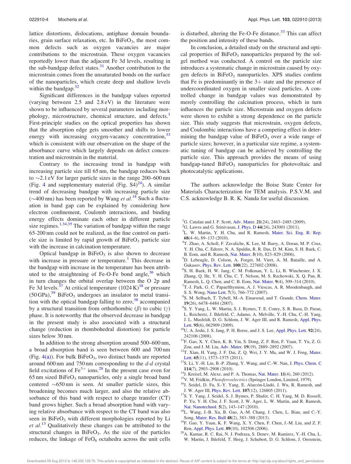lattice distortions, dislocations, antiphase domain boundaries, grain surface relaxation, etc. In  $BiFeO<sub>3</sub>$ , the most common defects such as oxygen vacancies are major contributions to the microstrain. These oxygen vacancies reportedly lower than the adjacent Fe 3d levels, resulting in the sub-bandgap defect states.<sup>31</sup> Another contribution to the microstrain comes from the unsaturated bonds on the surface of the nanoparticles, which create deep and shallow levels within the bandgap. $32$ 

Significant differences in the bandgap values reported (varying between 2.5 and 2.8 eV) in the literature were shown to be influenced by several parameters including morphology, microstructure, chemical structure, and defects.<sup>1</sup> First-principle studies on the optical properties has shown that the absorption edge gets smoother and shifts to lower energy with increasing oxygen-vacancy concentration,<sup>33</sup> which is consistent with our observation on the shape of the absorbance curve which largely depends on defect concentration and microstrain in the material.

Contrary to the increasing trend in bandgap with increasing particle size till 65 nm, the bandgap reduces back to  $\sim$ 2.1 eV for larger particle sizes in the range 200–600 nm (Fig. 4 and supplementary material (Fig.  $S4)^{24}$ ). A similar trend of decreasing bandgap with increasing particle size ( $\sim$ 400 nm) has been reported by Wang *et al.*<sup>18</sup> Such a fluctuation in band gap can be explained by considering how electron confinement, Coulomb interactions, and binding energy effects dominate each other in different particle size regimes.<sup>1,34,35</sup> The variation of bandgap within the range 65-200 nm could not be realized, as the fine control on particle size is limited by rapid growth of  $BiFeO<sub>3</sub>$  particle size with the increase in calcination temperature.

Optical bandgap in  $BiFeO<sub>3</sub>$  is also shown to decrease with increase in pressure or temperature.<sup>1</sup> This decrease in the bandgap with increase in the temperature has been attributed to the straightening of Fe-O-Fe bond angle, $36$  which in turn changes the orbital overlap between the O 2p and Fe 3d levels.<sup>37</sup> At critical temperature  $(1024 \text{ K})^{38}$  or pressure  $(50 \text{ GPa})$ ,<sup>39</sup> BiFeO<sub>3</sub> undergoes an insulator to metal transition with the optical bandgap falling to zero,  $38$  accompanied by a structural transition from orthorhombic  $(\beta)$  to cubic  $(\gamma)$ phase. It is noteworthy that the observed decrease in bandgap in the present study is also associated with a structural change (reduction in rhombohedral distortion) for particle sizes below 30 nm.

In addition to the strong absorption around 500–600 nm, a broad absorption band is seen between 600 and 700 nm (Fig.  $4(a)$ ). For bulk BiFeO<sub>3</sub>, two distinct bands are reported around 600 nm and 750 nm corresponding to the  $d-d$  crystal field excitations of  $\text{Fe}^{3+}$  ions.<sup>28</sup> In the present case even for  $65 \text{ nm}$  sized  $BiFeO<sub>3</sub>$  nanoparticles, only a single broad band centered  $\sim 650 \text{ nm}$  is seen. At smaller particle sizes, this broadening becomes much larger, and also the relative absorbance of this band with respect to charge transfer (CT) band grows higher. Such a broad absorption band with varying relative absorbance with respect to the CT band was also seen in BiFeO<sub>3</sub> with different morphologies reported by Li  $et al.<sup>13</sup>$  Qualitatively these changes can be attributed to the structural changes in  $BiFeO<sub>3</sub>$ . As the size of the particles reduces, the linkage of  $FeO<sub>6</sub>$  octahedra across the unit cells is disturbed, altering the Fe-O-Fe distance. $33$  This can affect the position and intensity of these bands.

In conclusion, a detailed study on the structural and optical properties of BiFeO<sub>3</sub> nanoparticles prepared by the solgel method was conducted. A control on the particle size introduces a systematic change in microstrain caused by oxygen defects in  $BiFeO<sub>3</sub>$  nanoparticles. XPS studies confirm that Fe is predominantly in the  $3+$  state and the presence of undercoordinated oxygen in smaller sized particles. A controlled change in bandgap values was demonstrated by merely controlling the calcination process, which in turn influences the particle size. Microstrain and oxygen defects were shown to exhibit a strong dependence on the particle size. This study suggests that microstrain, oxygen defects, and Coulombic interactions have a competing effect in determining the bandgap value of  $BiFeO<sub>3</sub>$  over a wide range of particle sizes; however, in a particular size regime, a systematic tuning of bandgap can be achieved by controlling the particle size. This approach provides the means of using bandgap-tuned  $BiFeO<sub>3</sub>$  nanoparticles for photovoltaic and photocatalytic applications.

The authors acknowledge the Boise State Center for Materials Characterization for TEM analysis. P.S.V.M. and C.S. acknowledge B. R. K. Nanda for useful discussion.

- <sup>1</sup>G. Catalan and J. F. Scott, Adv. Mater. 21(24), 2463–2485 (2009).
- <sup>2</sup>G. Lawes and G. Srinivasan, J. Phys. D 44(24), 243001 (2011).
- <sup>3</sup>L. W. Martin, Y. H. Chu, and R. Ramesh, Mater. Sci. Eng. R: Rep. 68(4–6), 89–133 (2010).
- 4 T. Zhao, A. Scholl, F. Zavaliche, K. Lee, M. Barry, A. Doran, M. P. Cruz, Y. H. Chu, C. Ederer, N. A. Spaldin, R. R. Das, D. M. Kim, S. H. Baek, C.
- B. Eom, and R. Ramesh, Nat. Mater. 5(10), 823–829 (2006).
- <sup>5</sup>D. Lebeugle, D. Colson, A. Forget, M. Viret, A. M. Bataille, and A. Gukasov, Phys. Rev. Lett. 100(22), 227602 (2008).
- 6 S. H. Baek, H. W. Jang, C. M. Folkman, Y. L. Li, B. Winchester, J. X. Zhang, Q. He, Y. H. Chu, C. T. Nelson, M. S. Rzchowski, X. Q. Pan, R. Ramesh, L. Q. Chen, and C. B. Eom, Nat. Mater. 9(4), 309–314 (2010).
- <sup>7</sup>T.-J. Park, G. C. Papaefthymiou, A. J. Viescas, A. R. Moodenbaugh, and S. S. Wong, Nano Lett. 7(3), 766–772 (2007).
- 8 S. M. Selbach, T. Tybell, M.-A. Einarsrud, and T. Grande, Chem. Mater. 19(26), 6478–6484 (2007).
- <sup>9</sup>S. Y. Yang, L. W. Martin, S. J. Byrnes, T. E. Conry, S. R. Basu, D. Paran,
- L. Reichertz, J. Ihlefeld, C. Adamo, A. Melville, Y.-H. Chu, C.-H. Yang,
- J. L. Musfeldt, D. G. Schlom, J. W. Ager III, and R. Ramesh, Appl. Phys. Lett. 95(6), 062909 (2009).
- <sup>10</sup>U. A. Joshi, J. S. Jang, P. H. Borse, and J. S. Lee, Appl. Phys. Lett. 92(24), 242106 (2008).
- $^{11}$  F. Gao, X. Y. Chen, K. B. Yin, S. Dong, Z. F. Ren, F. Yuan, T. Yu, Z. G. Zou, and J. M. Liu, Adv. Mater. 19(19), 2889-2892 (2007).
- <sup>12</sup>T. Xian, H. Yang, J. F. Dai, Z. Q. Wei, J. Y. Ma, and W. J. Feng, Mater. Lett. 65(11), 1573-1575 (2011).
- <sup>13</sup>S. Li, Y.-H. Lin, B.-P. Zhang, Y. Wang, and C.-W. Nan, J. Phys. Chem. C 114(7), 2903–2908 (2010).
- $14$ J. Kreisel, M. Alexe, and P. A. Thomas, Nat. Mater. 11(4), 260 (2012).
- <sup>15</sup>V. M. Fridkin, Photoferroelectrics (Springer London, Limited, 1979).
- <sup>16</sup>J. Seidel, D. Fu, S.-Y. Yang, E. Alarcón-Lladó, J. Wu, R. Ramesh, and J. W. Ager III, Phys. Rev. Lett. 107(12), 126805 (2011).
- <sup>17</sup>S. Y. Yang, J. Seidel, S. J. Byrnes, P. Shafer, C. H. Yang, M. D. Rossell, P. Yu, Y. H. Chu, J. F. Scott, J. W. Ager, L. W. Martin, and R. Ramesh, Nat. Nanotechnol. 5(2), 143–147 (2010).
- <sup>18</sup>L. Wang, J.-B. Xu, B. Gao, A.-M. Chang, J. Chen, L. Bian, and C.-Y. Song, Mater. Res. Bull 48(2), 383–388 (2013).
- <sup>19</sup>F. Gao, Y. Yuan, K. F. Wang, X. Y. Chen, F. Chen, J.-M. Liu, and Z. F. Ren, Appl. Phys. Lett. 89(10), 102506 (2006).
- <sup>20</sup>A. Kumar, R. C. Rai, N. J. Podraza, S. Denev, M. Ramirez, Y.-H. Chu, L. W. Martin, J. Ihlefeld, T. Heeg, J. Schubert, D. G. Schlom, J. Orenstein,

Downloaded 09 Aug 2013 to 146.232.129.75. This article is copyrighted as indicated in the abstract. Reuse of AIP content is subject to the terms at: http://apl.aip.org/about/rights\_and\_permissions